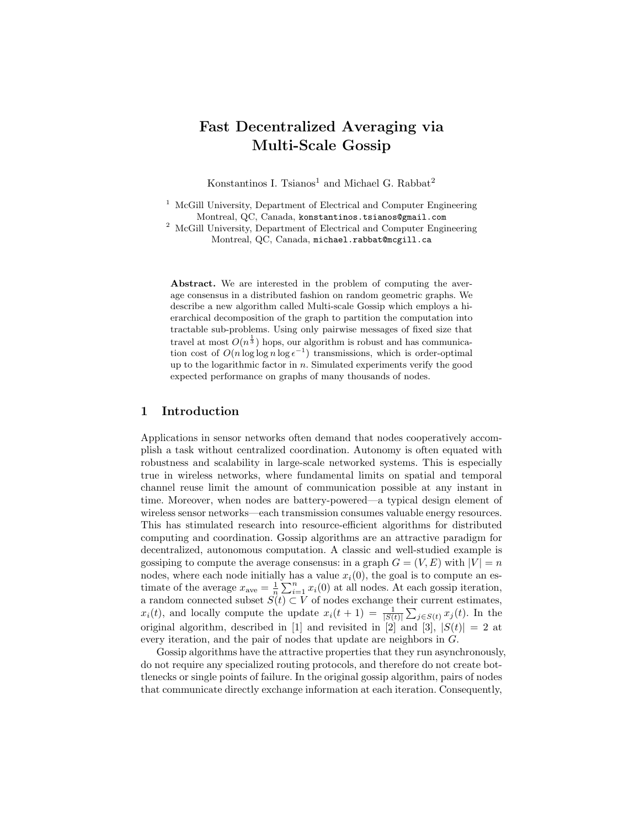# Fast Decentralized Averaging via Multi-Scale Gossip

Konstantinos I. Tsianos<sup>1</sup> and Michael G. Rabbat<sup>2</sup>

 $1$  McGill University, Department of Electrical and Computer Engineering Montreal, QC, Canada, konstantinos.tsianos@gmail.com

<sup>2</sup> McGill University, Department of Electrical and Computer Engineering Montreal, QC, Canada, michael.rabbat@mcgill.ca

Abstract. We are interested in the problem of computing the average consensus in a distributed fashion on random geometric graphs. We describe a new algorithm called Multi-scale Gossip which employs a hierarchical decomposition of the graph to partition the computation into tractable sub-problems. Using only pairwise messages of fixed size that travel at most  $O(n^{\frac{1}{3}})$  hops, our algorithm is robust and has communication cost of  $O(n \log \log n \log \epsilon^{-1})$  transmissions, which is order-optimal up to the logarithmic factor in  $n$ . Simulated experiments verify the good expected performance on graphs of many thousands of nodes.

#### 1 Introduction

Applications in sensor networks often demand that nodes cooperatively accomplish a task without centralized coordination. Autonomy is often equated with robustness and scalability in large-scale networked systems. This is especially true in wireless networks, where fundamental limits on spatial and temporal channel reuse limit the amount of communication possible at any instant in time. Moreover, when nodes are battery-powered—a typical design element of wireless sensor networks—each transmission consumes valuable energy resources. This has stimulated research into resource-efficient algorithms for distributed computing and coordination. Gossip algorithms are an attractive paradigm for decentralized, autonomous computation. A classic and well-studied example is gossiping to compute the average consensus: in a graph  $G = (V, E)$  with  $|V| = n$ nodes, where each node initially has a value  $x_i(0)$ , the goal is to compute an estimate of the average  $x_{\text{ave}} = \frac{1}{n} \sum_{i=1}^{n} x_i(0)$  at all nodes. At each gossip iteration, a random connected subset  $S(t) \subset V$  of nodes exchange their current estimates,  $x_i(t)$ , and locally compute the update  $x_i(t+1) = \frac{1}{|S(t)|} \sum_{j \in S(t)} x_j(t)$ . In the original algorithm, described in [1] and revisited in [2] and [3],  $|S(t)| = 2$  at every iteration, and the pair of nodes that update are neighbors in G.

Gossip algorithms have the attractive properties that they run asynchronously, do not require any specialized routing protocols, and therefore do not create bottlenecks or single points of failure. In the original gossip algorithm, pairs of nodes that communicate directly exchange information at each iteration. Consequently,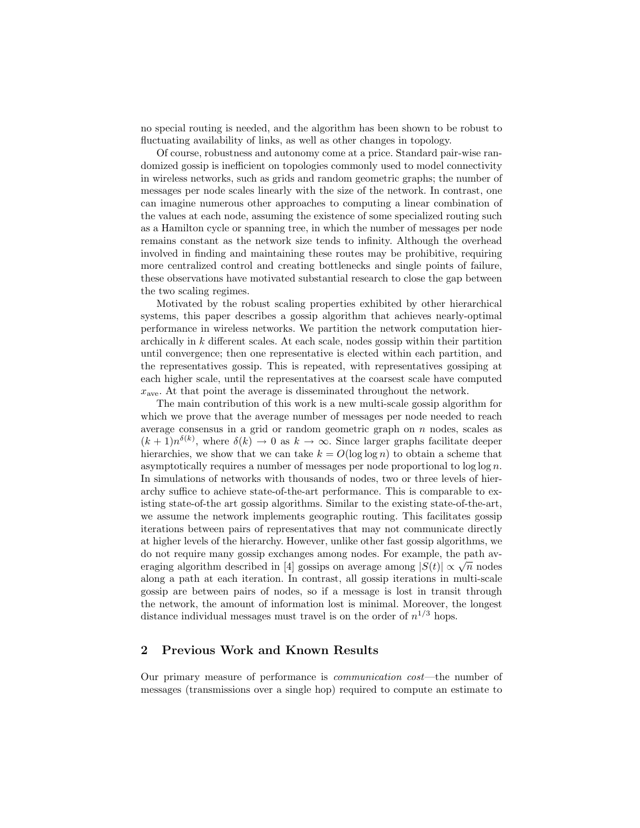no special routing is needed, and the algorithm has been shown to be robust to fluctuating availability of links, as well as other changes in topology.

Of course, robustness and autonomy come at a price. Standard pair-wise randomized gossip is inefficient on topologies commonly used to model connectivity in wireless networks, such as grids and random geometric graphs; the number of messages per node scales linearly with the size of the network. In contrast, one can imagine numerous other approaches to computing a linear combination of the values at each node, assuming the existence of some specialized routing such as a Hamilton cycle or spanning tree, in which the number of messages per node remains constant as the network size tends to infinity. Although the overhead involved in finding and maintaining these routes may be prohibitive, requiring more centralized control and creating bottlenecks and single points of failure, these observations have motivated substantial research to close the gap between the two scaling regimes.

Motivated by the robust scaling properties exhibited by other hierarchical systems, this paper describes a gossip algorithm that achieves nearly-optimal performance in wireless networks. We partition the network computation hierarchically in k different scales. At each scale, nodes gossip within their partition until convergence; then one representative is elected within each partition, and the representatives gossip. This is repeated, with representatives gossiping at each higher scale, until the representatives at the coarsest scale have computed  $x_{\text{ave}}$ . At that point the average is disseminated throughout the network.

The main contribution of this work is a new multi-scale gossip algorithm for which we prove that the average number of messages per node needed to reach average consensus in a grid or random geometric graph on  $n$  nodes, scales as  $(k+1)n^{\delta(k)}$ , where  $\delta(k) \to 0$  as  $k \to \infty$ . Since larger graphs facilitate deeper hierarchies, we show that we can take  $k = O(\log \log n)$  to obtain a scheme that asymptotically requires a number of messages per node proportional to  $\log \log n$ . In simulations of networks with thousands of nodes, two or three levels of hierarchy suffice to achieve state-of-the-art performance. This is comparable to existing state-of-the art gossip algorithms. Similar to the existing state-of-the-art, we assume the network implements geographic routing. This facilitates gossip iterations between pairs of representatives that may not communicate directly at higher levels of the hierarchy. However, unlike other fast gossip algorithms, we do not require many gossip exchanges among nodes. For example, the path avdo not require many gossip exchanges among nodes. For example, the path averaging algorithm described in [4] gossips on average among  $|S(t)| \propto \sqrt{n}$  nodes along a path at each iteration. In contrast, all gossip iterations in multi-scale gossip are between pairs of nodes, so if a message is lost in transit through the network, the amount of information lost is minimal. Moreover, the longest distance individual messages must travel is on the order of  $n^{1/3}$  hops.

## 2 Previous Work and Known Results

Our primary measure of performance is communication cost—the number of messages (transmissions over a single hop) required to compute an estimate to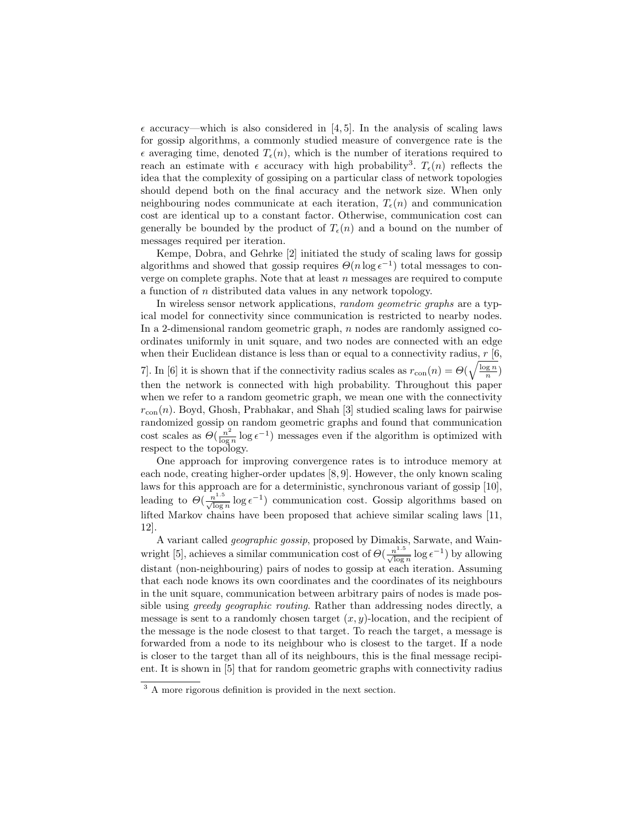$\epsilon$  accuracy—which is also considered in [4, 5]. In the analysis of scaling laws for gossip algorithms, a commonly studied measure of convergence rate is the  $\epsilon$  averaging time, denoted  $T_{\epsilon}(n)$ , which is the number of iterations required to reach an estimate with  $\epsilon$  accuracy with high probability<sup>3</sup>.  $T_{\epsilon}(n)$  reflects the idea that the complexity of gossiping on a particular class of network topologies should depend both on the final accuracy and the network size. When only neighbouring nodes communicate at each iteration,  $T_{\epsilon}(n)$  and communication cost are identical up to a constant factor. Otherwise, communication cost can generally be bounded by the product of  $T_{\epsilon}(n)$  and a bound on the number of messages required per iteration.

Kempe, Dobra, and Gehrke [2] initiated the study of scaling laws for gossip algorithms and showed that gossip requires  $\Theta(n \log \epsilon^{-1})$  total messages to converge on complete graphs. Note that at least  $n$  messages are required to compute a function of n distributed data values in any network topology.

In wireless sensor network applications, random geometric graphs are a typical model for connectivity since communication is restricted to nearby nodes. In a 2-dimensional random geometric graph, n nodes are randomly assigned coordinates uniformly in unit square, and two nodes are connected with an edge when their Euclidean distance is less than or equal to a connectivity radius,  $r(6)$ , 7. In [6] it is shown that if the connectivity radius scales as  $r_{con}(n) = \Theta(\sqrt{\frac{\log n}{n}})$ then the network is connected with high probability. Throughout this paper when we refer to a random geometric graph, we mean one with the connectivity  $r_{\text{con}}(n)$ . Boyd, Ghosh, Prabhakar, and Shah [3] studied scaling laws for pairwise randomized gossip on random geometric graphs and found that communication cost scales as  $\Theta(\frac{n^2}{\log n})$  $\frac{n^2}{\log n} \log \epsilon^{-1}$ ) messages even if the algorithm is optimized with respect to the topology.

One approach for improving convergence rates is to introduce memory at each node, creating higher-order updates [8, 9]. However, the only known scaling laws for this approach are for a deterministic, synchronous variant of gossip [10], leading to  $\Theta(\frac{n^{1.5}}{\sqrt{\log n}}\log \epsilon^{-1})$  communication cost. Gossip algorithms based on lifted Markov chains have been proposed that achieve similar scaling laws [11, 12].

A variant called geographic gossip, proposed by Dimakis, Sarwate, and Wainwright [5], achieves a similar communication cost of  $\Theta(\frac{n^{1.5}}{\sqrt{\log n}} \log \epsilon^{-1})$  by allowing distant (non-neighbouring) pairs of nodes to gossip at each iteration. Assuming that each node knows its own coordinates and the coordinates of its neighbours in the unit square, communication between arbitrary pairs of nodes is made possible using greedy geographic routing. Rather than addressing nodes directly, a message is sent to a randomly chosen target  $(x, y)$ -location, and the recipient of the message is the node closest to that target. To reach the target, a message is forwarded from a node to its neighbour who is closest to the target. If a node is closer to the target than all of its neighbours, this is the final message recipient. It is shown in [5] that for random geometric graphs with connectivity radius

<sup>3</sup> A more rigorous definition is provided in the next section.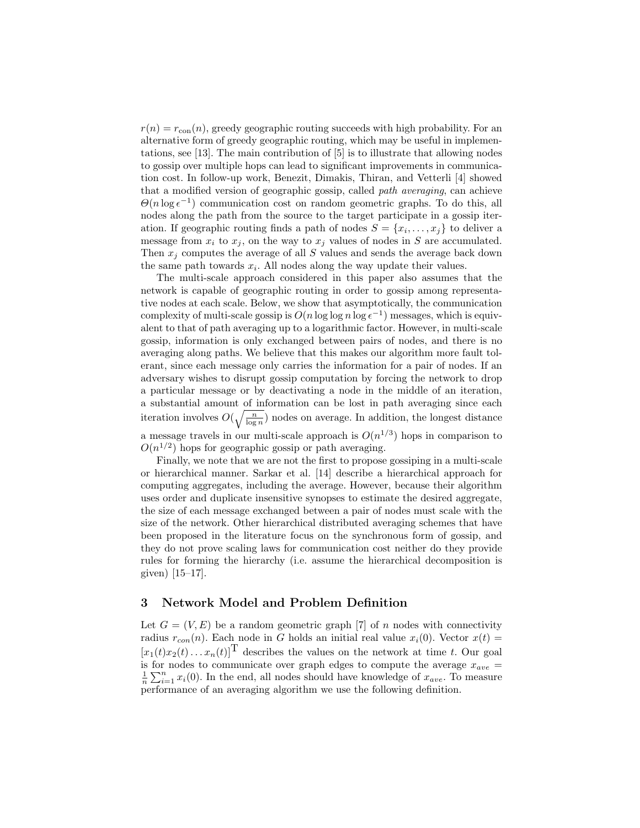$r(n) = r_{\text{con}}(n)$ , greedy geographic routing succeeds with high probability. For an alternative form of greedy geographic routing, which may be useful in implementations, see [13]. The main contribution of [5] is to illustrate that allowing nodes to gossip over multiple hops can lead to significant improvements in communication cost. In follow-up work, Benezit, Dimakis, Thiran, and Vetterli [4] showed that a modified version of geographic gossip, called path averaging, can achieve  $\Theta(n \log \epsilon^{-1})$  communication cost on random geometric graphs. To do this, all nodes along the path from the source to the target participate in a gossip iteration. If geographic routing finds a path of nodes  $S = \{x_i, \ldots, x_j\}$  to deliver a message from  $x_i$  to  $x_j$ , on the way to  $x_j$  values of nodes in S are accumulated. Then  $x_i$  computes the average of all S values and sends the average back down the same path towards  $x_i$ . All nodes along the way update their values.

The multi-scale approach considered in this paper also assumes that the network is capable of geographic routing in order to gossip among representative nodes at each scale. Below, we show that asymptotically, the communication complexity of multi-scale gossip is  $O(n \log \log n \log \epsilon^{-1})$  messages, which is equivalent to that of path averaging up to a logarithmic factor. However, in multi-scale gossip, information is only exchanged between pairs of nodes, and there is no averaging along paths. We believe that this makes our algorithm more fault tolerant, since each message only carries the information for a pair of nodes. If an adversary wishes to disrupt gossip computation by forcing the network to drop a particular message or by deactivating a node in the middle of an iteration, a substantial amount of information can be lost in path averaging since each iteration involves  $O(\sqrt{\frac{n}{\log n}})$  nodes on average. In addition, the longest distance a message travels in our multi-scale approach is  $O(n^{1/3})$  hops in comparison to  $O(n^{1/2})$  hops for geographic gossip or path averaging.

Finally, we note that we are not the first to propose gossiping in a multi-scale or hierarchical manner. Sarkar et al. [14] describe a hierarchical approach for computing aggregates, including the average. However, because their algorithm uses order and duplicate insensitive synopses to estimate the desired aggregate, the size of each message exchanged between a pair of nodes must scale with the size of the network. Other hierarchical distributed averaging schemes that have been proposed in the literature focus on the synchronous form of gossip, and they do not prove scaling laws for communication cost neither do they provide rules for forming the hierarchy (i.e. assume the hierarchical decomposition is given) [15–17].

## 3 Network Model and Problem Definition

Let  $G = (V, E)$  be a random geometric graph [7] of n nodes with connectivity radius  $r_{con}(n)$ . Each node in G holds an initial real value  $x_i(0)$ . Vector  $x(t)$  =  $[x_1(t)x_2(t)...x_n(t)]^T$  describes the values on the network at time t. Our goal is for nodes to communicate over graph edges to compute the average  $x_{ave} =$  $\frac{1}{n}\sum_{i=1}^{n}x_i(0)$ . In the end, all nodes should have knowledge of  $x_{ave}$ . To measure performance of an averaging algorithm we use the following definition.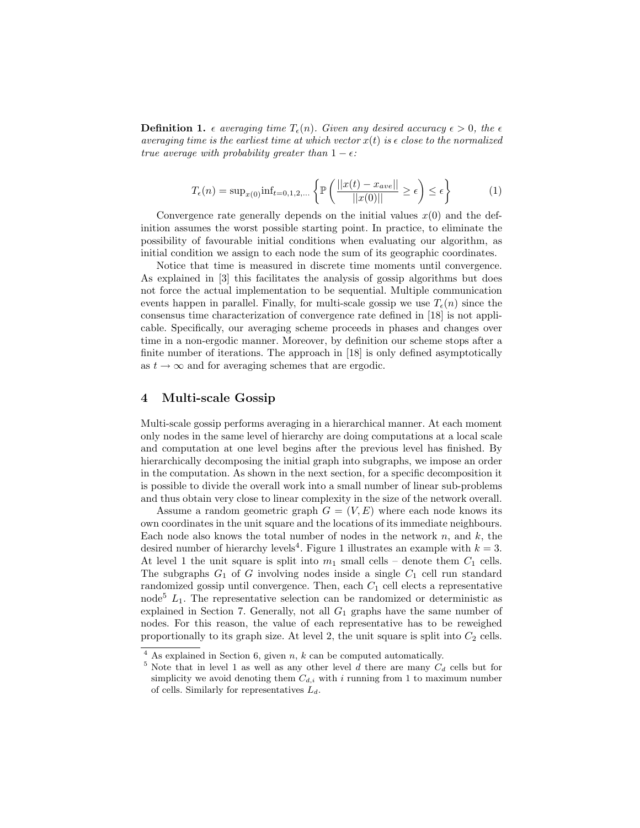**Definition 1.**  $\epsilon$  averaging time  $T_{\epsilon}(n)$ . Given any desired accuracy  $\epsilon > 0$ , the  $\epsilon$ averaging time is the earliest time at which vector  $x(t)$  is  $\epsilon$  close to the normalized true average with probability greater than  $1 - \epsilon$ :

$$
T_{\epsilon}(n) = \sup_{x(0)} \inf_{t=0,1,2,\dots} \left\{ \mathbb{P}\left( \frac{||x(t) - x_{ave}||}{||x(0)||} \ge \epsilon \right) \le \epsilon \right\}
$$
 (1)

Convergence rate generally depends on the initial values  $x(0)$  and the definition assumes the worst possible starting point. In practice, to eliminate the possibility of favourable initial conditions when evaluating our algorithm, as initial condition we assign to each node the sum of its geographic coordinates.

Notice that time is measured in discrete time moments until convergence. As explained in [3] this facilitates the analysis of gossip algorithms but does not force the actual implementation to be sequential. Multiple communication events happen in parallel. Finally, for multi-scale gossip we use  $T_{\epsilon}(n)$  since the consensus time characterization of convergence rate defined in [18] is not applicable. Specifically, our averaging scheme proceeds in phases and changes over time in a non-ergodic manner. Moreover, by definition our scheme stops after a finite number of iterations. The approach in [18] is only defined asymptotically as  $t \to \infty$  and for averaging schemes that are ergodic.

#### 4 Multi-scale Gossip

Multi-scale gossip performs averaging in a hierarchical manner. At each moment only nodes in the same level of hierarchy are doing computations at a local scale and computation at one level begins after the previous level has finished. By hierarchically decomposing the initial graph into subgraphs, we impose an order in the computation. As shown in the next section, for a specific decomposition it is possible to divide the overall work into a small number of linear sub-problems and thus obtain very close to linear complexity in the size of the network overall.

Assume a random geometric graph  $G = (V, E)$  where each node knows its own coordinates in the unit square and the locations of its immediate neighbours. Each node also knows the total number of nodes in the network  $n$ , and  $k$ , the desired number of hierarchy levels<sup>4</sup>. Figure 1 illustrates an example with  $k = 3$ . At level 1 the unit square is split into  $m_1$  small cells – denote them  $C_1$  cells. The subgraphs  $G_1$  of G involving nodes inside a single  $C_1$  cell run standard randomized gossip until convergence. Then, each  $C_1$  cell elects a representative node<sup>5</sup>  $L_1$ . The representative selection can be randomized or deterministic as explained in Section 7. Generally, not all  $G_1$  graphs have the same number of nodes. For this reason, the value of each representative has to be reweighed proportionally to its graph size. At level 2, the unit square is split into  $C_2$  cells.

 $4$  As explained in Section 6, given n, k can be computed automatically.

 $5$  Note that in level 1 as well as any other level d there are many  $C_d$  cells but for simplicity we avoid denoting them  $C_{d,i}$  with i running from 1 to maximum number of cells. Similarly for representatives  $L_d$ .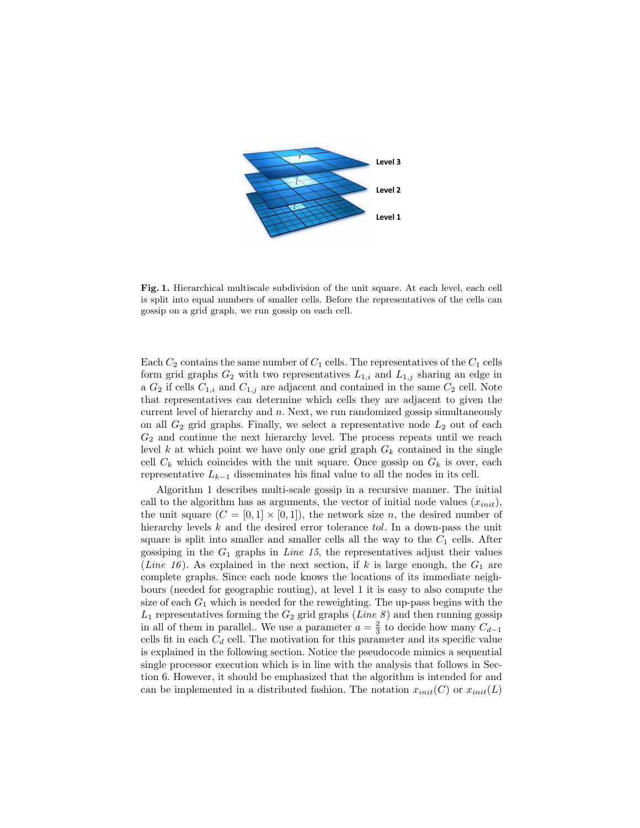

Fig. 1. Hierarchical multiscale subdivision of the unit square. At each level, each cell is split into equal numbers of smaller cells. Before the representatives of the cells can gossip on a grid graph, we run gossip on each cell.

Each  $C_2$  contains the same number of  $C_1$  cells. The representatives of the  $C_1$  cells form grid graphs  $G_2$  with two representatives  $L_{1,i}$  and  $L_{1,j}$  sharing an edge in a  $G_2$  if cells  $C_{1,i}$  and  $C_{1,j}$  are adjacent and contained in the same  $C_2$  cell. Note that representatives can determine which cells they are adjacent to given the current level of hierarchy and  $n$ . Next, we run randomized gossip simultaneously on all  $G_2$  grid graphs. Finally, we select a representative node  $L_2$  out of each  $G_2$  and continue the next hierarchy level. The process repeats until we reach level k at which point we have only one grid graph  $G_k$  contained in the single cell  $C_k$  which coincides with the unit square. Once gossip on  $G_k$  is over, each representative  $L_{k-1}$  disseminates his final value to all the nodes in its cell.

Algorithm 1 describes multi-scale gossip in a recursive manner. The initial call to the algorithm has as arguments, the vector of initial node values  $(x_{init})$ , the unit square  $(C = [0, 1] \times [0, 1])$ , the network size n, the desired number of hierarchy levels k and the desired error tolerance tol. In a down-pass the unit square is split into smaller and smaller cells all the way to the  $C_1$  cells. After gossiping in the  $G_1$  graphs in *Line 15*, the representatives adjust their values (*Line 16*). As explained in the next section, if k is large enough, the  $G_1$  are complete graphs. Since each node knows the locations of its immediate neighbours (needed for geographic routing), at level 1 it is easy to also compute the size of each  $G_1$  which is needed for the reweighting. The up-pass begins with the  $L_1$  representatives forming the  $G_2$  grid graphs (*Line 8*) and then running gossip in all of them in parallel.. We use a parameter  $a = \frac{2}{3}$  to decide how many  $C_{d-1}$ cells fit in each  $C_d$  cell. The motivation for this parameter and its specific value is explained in the following section. Notice the pseudocode mimics a sequential single processor execution which is in line with the analysis that follows in Section 6. However, it should be emphasized that the algorithm is intended for and can be implemented in a distributed fashion. The notation  $x_{init}(C)$  or  $x_{init}(L)$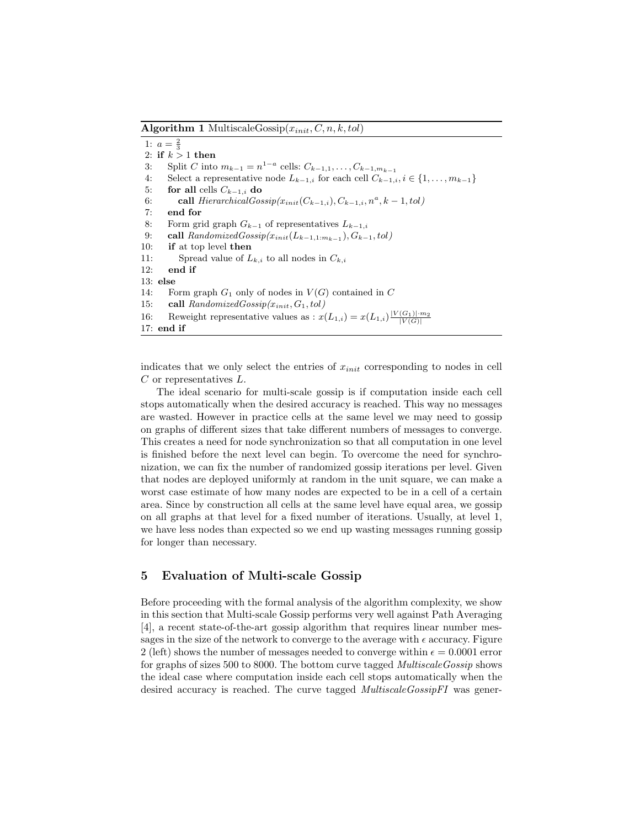Algorithm 1 Multiscale $G$ ossip $(x_{init}, C, n, k, tol)$ 

1:  $a = \frac{2}{3}$ 2: if  $k > 1$  then 3: Split C into  $m_{k-1} = n^{1-a}$  cells:  $C_{k-1,1}, \ldots, C_{k-1,m_{k-1}}$ 4: Select a representative node  $L_{k-1,i}$  for each cell  $C_{k-1,i}$ ,  $i \in \{1, \ldots, m_{k-1}\}\$ 5: for all cells  $C_{k-1,i}$  do 6: call  $\text{Hierarchical} Gossip(x_{init}(C_{k-1,i}), C_{k-1,i}, n^a, k-1, tol)$ 7: end for 8: Form grid graph  $G_{k-1}$  of representatives  $L_{k-1,i}$ 9: **call**  $RandomizedGossip(x_{init}(L_{k-1,1:m_{k-1}}), G_{k-1}, tol)$ 10: if at top level then 11: Spread value of  $L_{k,i}$  to all nodes in  $C_{k,i}$ 12: end if 13: else 14: Form graph  $G_1$  only of nodes in  $V(G)$  contained in  $C$ 15: call  $RandomizedGossip(x_{init}, G_1, tol)$ 16: Reweight representative values as :  $x(L_{1,i}) = x(L_{1,i}) \frac{|V(G_1)| \cdot m_2}{|V(G)|}$ 17: end if

indicates that we only select the entries of  $x_{init}$  corresponding to nodes in cell  $C$  or representatives  $L$ .

The ideal scenario for multi-scale gossip is if computation inside each cell stops automatically when the desired accuracy is reached. This way no messages are wasted. However in practice cells at the same level we may need to gossip on graphs of different sizes that take different numbers of messages to converge. This creates a need for node synchronization so that all computation in one level is finished before the next level can begin. To overcome the need for synchronization, we can fix the number of randomized gossip iterations per level. Given that nodes are deployed uniformly at random in the unit square, we can make a worst case estimate of how many nodes are expected to be in a cell of a certain area. Since by construction all cells at the same level have equal area, we gossip on all graphs at that level for a fixed number of iterations. Usually, at level 1, we have less nodes than expected so we end up wasting messages running gossip for longer than necessary.

## 5 Evaluation of Multi-scale Gossip

Before proceeding with the formal analysis of the algorithm complexity, we show in this section that Multi-scale Gossip performs very well against Path Averaging [4], a recent state-of-the-art gossip algorithm that requires linear number messages in the size of the network to converge to the average with  $\epsilon$  accuracy. Figure 2 (left) shows the number of messages needed to converge within  $\epsilon = 0.0001$  error for graphs of sizes 500 to 8000. The bottom curve tagged MultiscaleGossip shows the ideal case where computation inside each cell stops automatically when the desired accuracy is reached. The curve tagged *Multiscale GossipFI* was gener-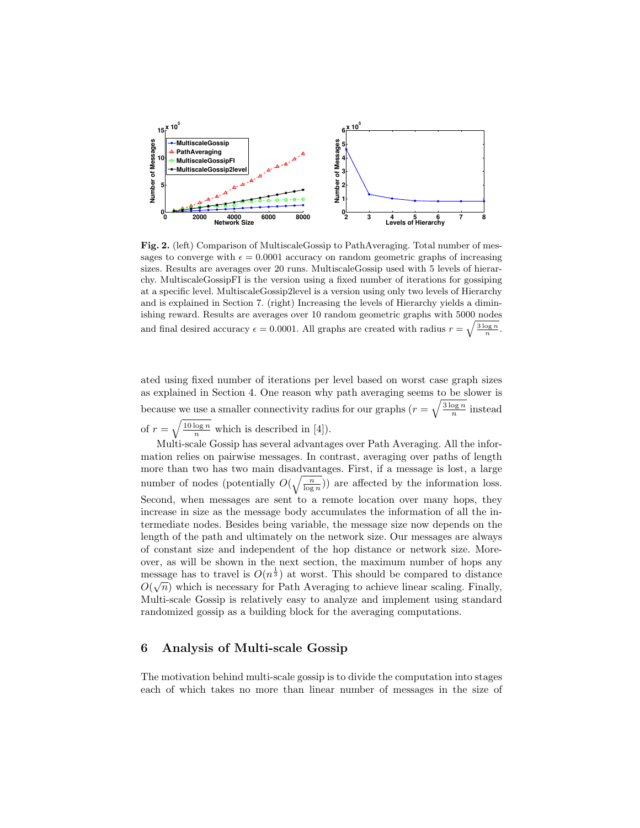

Fig. 2. (left) Comparison of MultiscaleGossip to PathAveraging. Total number of messages to converge with  $\epsilon = 0.0001$  accuracy on random geometric graphs of increasing sizes. Results are averages over 20 runs. MultiscaleGossip used with 5 levels of hierarchy. MultiscaleGossipFI is the version using a fixed number of iterations for gossiping at a specific level. MultiscaleGossip2level is a version using only two levels of Hierarchy and is explained in Section 7. (right) Increasing the levels of Hierarchy yields a diminishing reward. Results are averages over 10 random geometric graphs with 5000 nodes and final desired accuracy  $\epsilon = 0.0001$ . All graphs are created with radius  $r = \sqrt{\frac{3 \log n}{n}}$ .

ated using fixed number of iterations per level based on worst case graph sizes as explained in Section 4. One reason why path averaging seems to be slower is because we use a smaller connectivity radius for our graphs  $(r = \sqrt{\frac{3 \log n}{n}})$  instead of  $r = \sqrt{\frac{10 \log n}{n}}$  which is described in [4]).

Multi-scale Gossip has several advantages over Path Averaging. All the information relies on pairwise messages. In contrast, averaging over paths of length more than two has two main disadvantages. First, if a message is lost, a large number of nodes (potentially  $O(\sqrt{\frac{n}{\log n}}))$  are affected by the information loss. Second, when messages are sent to a remote location over many hops, they increase in size as the message body accumulates the information of all the intermediate nodes. Besides being variable, the message size now depends on the length of the path and ultimately on the network size. Our messages are always of constant size and independent of the hop distance or network size. Moreover, as will be shown in the next section, the maximum number of hops any message has to travel is  $O(n^{\frac{1}{3}})$  at worst. This should be compared to distance  $O(\sqrt{n})$  which is necessary for Path Averaging to achieve linear scaling. Finally, Multi-scale Gossip is relatively easy to analyze and implement using standard randomized gossip as a building block for the averaging computations.

### 6 Analysis of Multi-scale Gossip

The motivation behind multi-scale gossip is to divide the computation into stages each of which takes no more than linear number of messages in the size of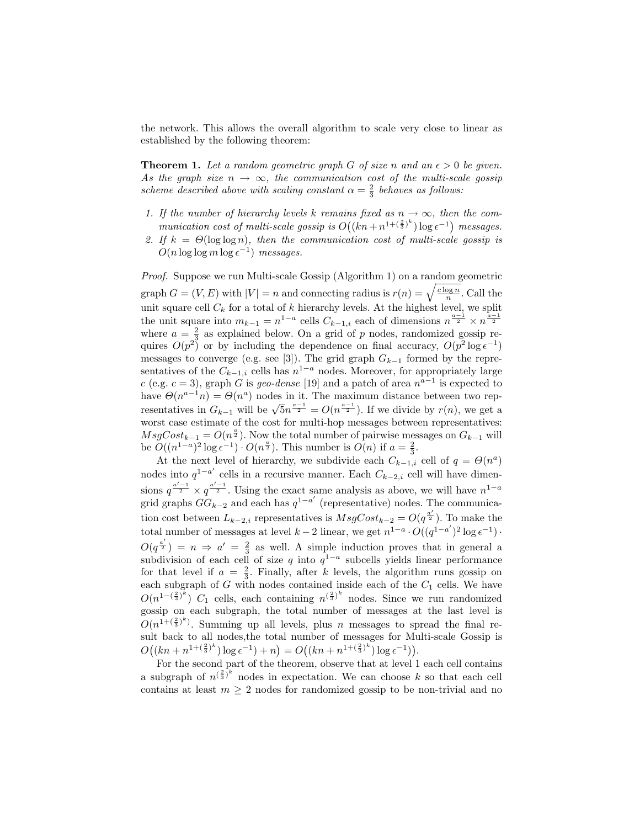the network. This allows the overall algorithm to scale very close to linear as established by the following theorem:

**Theorem 1.** Let a random geometric graph G of size n and an  $\epsilon > 0$  be given. As the graph size  $n \to \infty$ , the communication cost of the multi-scale gossip scheme described above with scaling constant  $\alpha = \frac{2}{3}$  behaves as follows:

- 1. If the number of hierarchy levels k remains fixed as  $n \to \infty$ , then the communication cost of multi-scale gossip is  $O((kn+n^{1+(\frac{2}{3})^k})\log \epsilon^{-1})$  messages.
- 2. If  $k = \Theta(\log \log n)$ , then the communication cost of multi-scale gossip is  $O(n \log \log m \log \epsilon^{-1})$  messages.

Proof. Suppose we run Multi-scale Gossip (Algorithm 1) on a random geometric graph  $G = (V, E)$  with  $|V| = n$  and connecting radius is  $r(n) = \sqrt{\frac{c \log n}{n}}$ . Call the unit square cell  $C_k$  for a total of k hierarchy levels. At the highest level, we split the unit square into  $m_{k-1} = n^{1-a}$  cells  $C_{k-1,i}$  each of dimensions  $n^{\frac{a-1}{2}} \times n^{\frac{a-1}{2}}$ where  $a = \frac{2}{3}$  as explained below. On a grid of p nodes, randomized gossip requires  $O(p^2)$  or by including the dependence on final accuracy,  $O(p^2 \log \epsilon^{-1})$ messages to converge (e.g. see [3]). The grid graph  $G_{k-1}$  formed by the representatives of the  $C_{k-1,i}$  cells has  $n^{1-a}$  nodes. Moreover, for appropriately large c (e.g.  $c = 3$ ), graph G is geo-dense [19] and a patch of area  $n^{a-1}$  is expected to have  $\Theta(n^{a-1}n) = \Theta(n^a)$  nodes in it. The maximum distance between two representatives in  $G_{k-1}$  will be  $\sqrt{5n}^{\frac{a-1}{2}} = O(n^{\frac{a-1}{2}})$ . If we divide by  $r(n)$ , we get a worst case estimate of the cost for multi-hop messages between representatives:  $MsgCost_{k-1} = O(n^{\frac{a}{2}})$ . Now the total number of pairwise messages on  $G_{k-1}$  will be  $O((n^{1-a})^2 \log \epsilon^{-1}) \cdot O(n^{\frac{a}{2}})$ . This number is  $O(n)$  if  $a = \frac{2}{3}$ .

At the next level of hierarchy, we subdivide each  $C_{k-1,i}$  cell of  $q = \Theta(n^a)$ nodes into  $q^{1-a'}$  cells in a recursive manner. Each  $C_{k-2,i}$  cell will have dimensions  $q^{\frac{a'-1}{2}} \times q^{\frac{a'-1}{2}}$ . Using the exact same analysis as above, we will have  $n^{1-a}$ grid graphs  $\hat{GG}_{k-2}$  and each has  $q^{1-a'}$  (representative) nodes. The communication cost between  $L_{k-2,i}$  representatives is  $MsgCost_{k-2} = O(q^{\frac{a'}{2}})$ . To make the total number of messages at level  $k-2$  linear, we get  $n^{1-a} \cdot O((q^{1-a'})^2 \log \epsilon^{-1})$ .  $O(q^{\frac{a'}{2}}) = n \Rightarrow a' = \frac{2}{3}$  as well. A simple induction proves that in general a subdivision of each cell of size q into  $q^{1-a}$  subcells yields linear performance for that level if  $a = \frac{2}{3}$ . Finally, after k levels, the algorithm runs gossip on each subgraph of  $G$  with nodes contained inside each of the  $C_1$  cells. We have  $O(n^{1-(\frac{2}{3})^k})$  C<sub>1</sub> cells, each containing  $n^{(\frac{2}{3})^k}$  nodes. Since we run randomized gossip on each subgraph, the total number of messages at the last level is  $O(n^{1+(\frac{2}{3})^k})$ . Summing up all levels, plus *n* messages to spread the final result back to all nodes,the total number of messages for Multi-scale Gossip is  $O((kn + n^{1+(\frac{2}{3})^k}) \log \epsilon^{-1}) + n) = O((kn + n^{1+(\frac{2}{3})^k}) \log \epsilon^{-1}).$ 

For the second part of the theorem, observe that at level 1 each cell contains a subgraph of  $n^{(\frac{2}{3})^k}$  nodes in expectation. We can choose k so that each cell contains at least  $m \geq 2$  nodes for randomized gossip to be non-trivial and no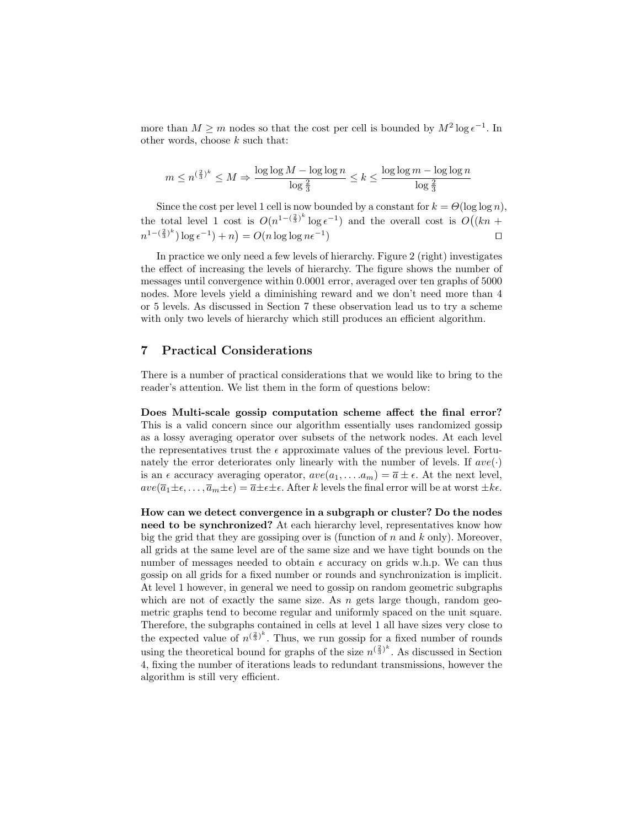more than  $M \geq m$  nodes so that the cost per cell is bounded by  $M^2 \log \epsilon^{-1}$ . In other words, choose  $k$  such that:

$$
m \le n^{(\frac{2}{3})^k} \le M \Rightarrow \frac{\log \log M - \log \log n}{\log \frac{2}{3}} \le k \le \frac{\log \log m - \log \log n}{\log \frac{2}{3}}
$$

Since the cost per level 1 cell is now bounded by a constant for  $k = \Theta(\log \log n)$ , the total level 1 cost is  $O(n^{1-(\frac{2}{3})^k} \log \epsilon^{-1})$  and the overall cost is  $O((kn +$  $(n^{1-(\frac{2}{3})^k})\log \epsilon^{-1}) + n) = O(n \log \log n \epsilon^{-1})$ ) and the contract of  $\Box$ 

In practice we only need a few levels of hierarchy. Figure 2 (right) investigates the effect of increasing the levels of hierarchy. The figure shows the number of messages until convergence within 0.0001 error, averaged over ten graphs of 5000 nodes. More levels yield a diminishing reward and we don't need more than 4 or 5 levels. As discussed in Section 7 these observation lead us to try a scheme with only two levels of hierarchy which still produces an efficient algorithm.

## 7 Practical Considerations

There is a number of practical considerations that we would like to bring to the reader's attention. We list them in the form of questions below:

Does Multi-scale gossip computation scheme affect the final error? This is a valid concern since our algorithm essentially uses randomized gossip as a lossy averaging operator over subsets of the network nodes. At each level the representatives trust the  $\epsilon$  approximate values of the previous level. Fortunately the error deteriorates only linearly with the number of levels. If  $ave(\cdot)$ is an  $\epsilon$  accuracy averaging operator,  $ave(a_1, \ldots, a_m) = \overline{a} \pm \epsilon$ . At the next level,  $ave(\overline{a}_1\pm\epsilon,\ldots,\overline{a}_m\pm\epsilon) = \overline{a}\pm\epsilon\pm\epsilon$ . After k levels the final error will be at worst  $\pm k\epsilon$ .

How can we detect convergence in a subgraph or cluster? Do the nodes need to be synchronized? At each hierarchy level, representatives know how big the grid that they are gossiping over is (function of n and k only). Moreover, all grids at the same level are of the same size and we have tight bounds on the number of messages needed to obtain  $\epsilon$  accuracy on grids w.h.p. We can thus gossip on all grids for a fixed number or rounds and synchronization is implicit. At level 1 however, in general we need to gossip on random geometric subgraphs which are not of exactly the same size. As  $n$  gets large though, random geometric graphs tend to become regular and uniformly spaced on the unit square. Therefore, the subgraphs contained in cells at level 1 all have sizes very close to the expected value of  $n^{(\frac{2}{3})^k}$ . Thus, we run gossip for a fixed number of rounds using the theoretical bound for graphs of the size  $n^{(\frac{2}{3})^k}$ . As discussed in Section 4, fixing the number of iterations leads to redundant transmissions, however the algorithm is still very efficient.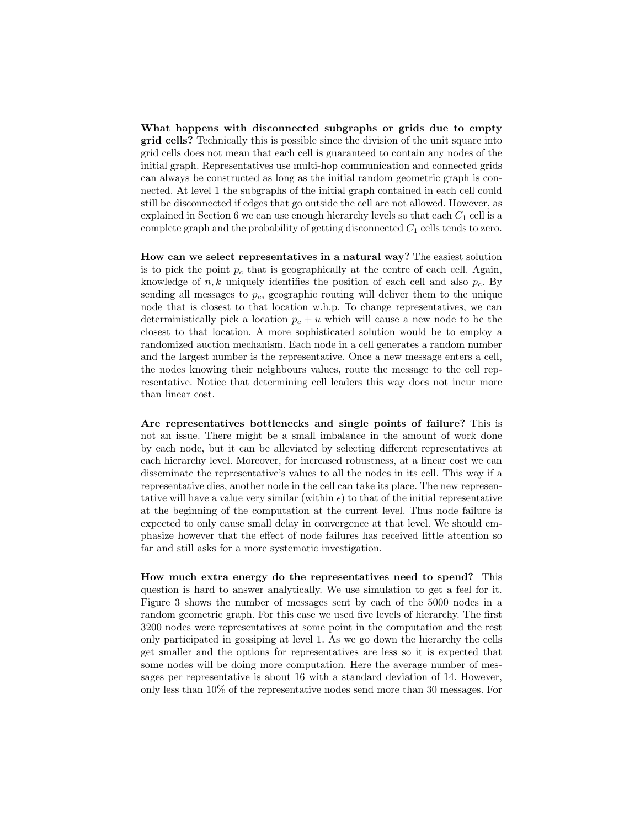What happens with disconnected subgraphs or grids due to empty grid cells? Technically this is possible since the division of the unit square into grid cells does not mean that each cell is guaranteed to contain any nodes of the initial graph. Representatives use multi-hop communication and connected grids can always be constructed as long as the initial random geometric graph is connected. At level 1 the subgraphs of the initial graph contained in each cell could still be disconnected if edges that go outside the cell are not allowed. However, as explained in Section 6 we can use enough hierarchy levels so that each  $C_1$  cell is a complete graph and the probability of getting disconnected  $C_1$  cells tends to zero.

How can we select representatives in a natural way? The easiest solution is to pick the point  $p_c$  that is geographically at the centre of each cell. Again, knowledge of  $n, k$  uniquely identifies the position of each cell and also  $p_c$ . By sending all messages to  $p_c$ , geographic routing will deliver them to the unique node that is closest to that location w.h.p. To change representatives, we can deterministically pick a location  $p_c + u$  which will cause a new node to be the closest to that location. A more sophisticated solution would be to employ a randomized auction mechanism. Each node in a cell generates a random number and the largest number is the representative. Once a new message enters a cell, the nodes knowing their neighbours values, route the message to the cell representative. Notice that determining cell leaders this way does not incur more than linear cost.

Are representatives bottlenecks and single points of failure? This is not an issue. There might be a small imbalance in the amount of work done by each node, but it can be alleviated by selecting different representatives at each hierarchy level. Moreover, for increased robustness, at a linear cost we can disseminate the representative's values to all the nodes in its cell. This way if a representative dies, another node in the cell can take its place. The new representative will have a value very similar (within  $\epsilon$ ) to that of the initial representative at the beginning of the computation at the current level. Thus node failure is expected to only cause small delay in convergence at that level. We should emphasize however that the effect of node failures has received little attention so far and still asks for a more systematic investigation.

How much extra energy do the representatives need to spend? This question is hard to answer analytically. We use simulation to get a feel for it. Figure 3 shows the number of messages sent by each of the 5000 nodes in a random geometric graph. For this case we used five levels of hierarchy. The first 3200 nodes were representatives at some point in the computation and the rest only participated in gossiping at level 1. As we go down the hierarchy the cells get smaller and the options for representatives are less so it is expected that some nodes will be doing more computation. Here the average number of messages per representative is about 16 with a standard deviation of 14. However, only less than 10% of the representative nodes send more than 30 messages. For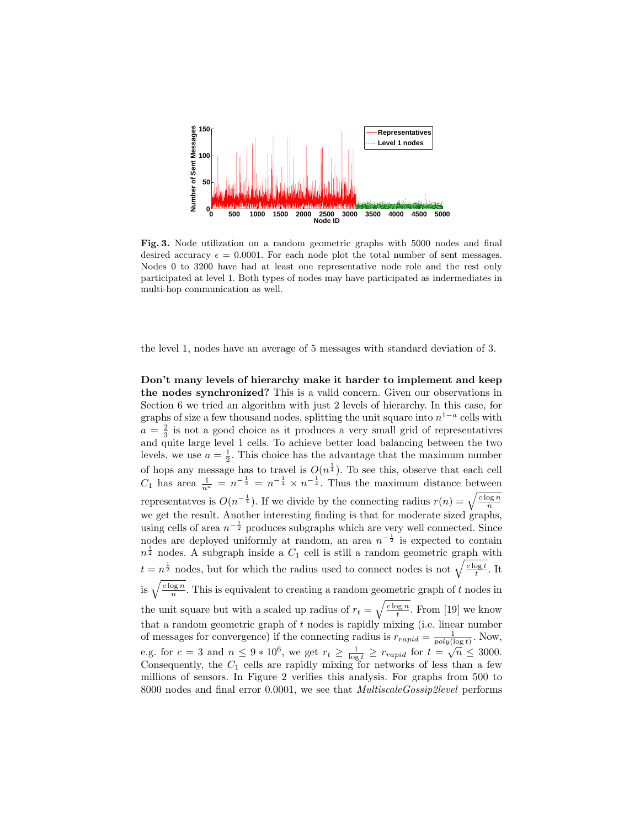

Fig. 3. Node utilization on a random geometric graphs with 5000 nodes and final desired accuracy  $\epsilon = 0.0001$ . For each node plot the total number of sent messages. Nodes 0 to 3200 have had at least one representative node role and the rest only participated at level 1. Both types of nodes may have participated as indermediates in multi-hop communication as well.

the level 1, nodes have an average of 5 messages with standard deviation of 3.

Don't many levels of hierarchy make it harder to implement and keep the nodes synchronized? This is a valid concern. Given our observations in Section 6 we tried an algorithm with just 2 levels of hierarchy. In this case, for graphs of size a few thousand nodes, splitting the unit square into  $n^{1-a}$  cells with  $a = \frac{2}{3}$  is not a good choice as it produces a very small grid of representatives and quite large level 1 cells. To achieve better load balancing between the two levels, we use  $a = \frac{1}{2}$ . This choice has the advantage that the maximum number 2 of hops any message has to travel is  $O(n^{\frac{1}{4}})$ . To see this, observe that each cell  $C_1$  has area  $\frac{1}{n^a} = n^{-\frac{1}{2}} = n^{-\frac{1}{4}} \times n^{-\frac{1}{4}}$ . Thus the maximum distance between representatves is  $O(n^{-\frac{1}{4}})$ . If we divide by the connecting radius  $r(n) = \sqrt{\frac{c \log n}{n}}$ we get the result. Another interesting finding is that for moderate sized graphs, using cells of area  $n^{-\frac{1}{2}}$  produces subgraphs which are very well connected. Since nodes are deployed uniformly at random, an area  $n^{-\frac{1}{2}}$  is expected to contain  $n^{\frac{1}{2}}$  nodes. A subgraph inside a  $C_1$  cell is still a random geometric graph with  $t = n^{\frac{1}{2}}$  nodes, but for which the radius used to connect nodes is not  $\sqrt{\frac{c \log t}{t}}$ . It is  $\sqrt{\frac{c \log n}{n}}$ . This is equivalent to creating a random geometric graph of t nodes in the unit square but with a scaled up radius of  $r_t = \sqrt{\frac{c \log n}{t}}$ . From [19] we know that a random geometric graph of  $t$  nodes is rapidly mixing (i.e. linear number of messages for convergence) if the connecting radius is  $r_{rapid} = \frac{1}{poly(\log t)}$ . Now, e.g. for  $c = 3$  and  $n \leq 9 * 10^6$ , we get  $r_t \geq \frac{1}{\log t} \geq r_{rapid}$  for  $t = \sqrt{n} \leq 3000$ . Consequently, the  $C_1$  cells are rapidly mixing for networks of less than a few millions of sensors. In Figure 2 verifies this analysis. For graphs from 500 to 8000 nodes and final error 0.0001, we see that MultiscaleGossip2level performs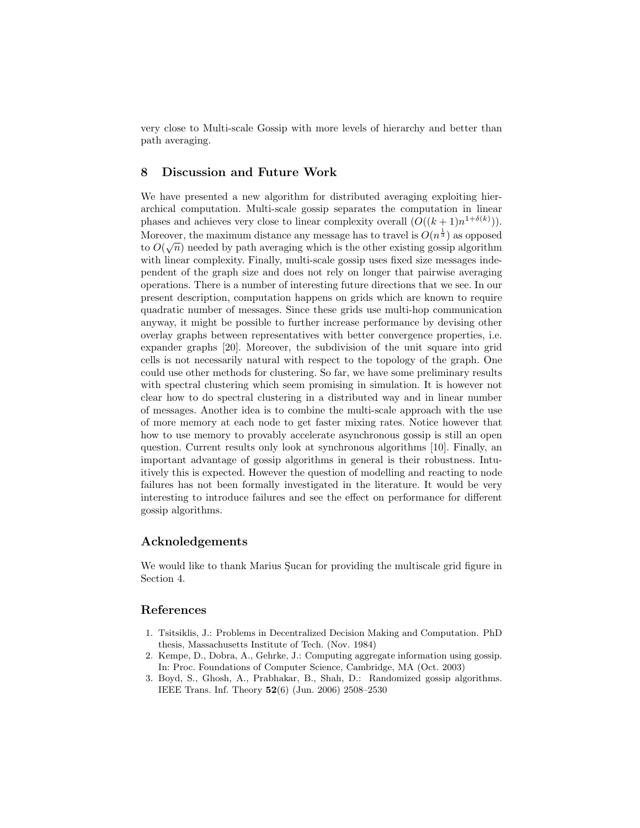very close to Multi-scale Gossip with more levels of hierarchy and better than path averaging.

## 8 Discussion and Future Work

We have presented a new algorithm for distributed averaging exploiting hierarchical computation. Multi-scale gossip separates the computation in linear phases and achieves very close to linear complexity overall  $(O((k+1)n^{1+\delta(k)})).$ Moreover, the maximum distance any message has to travel is  $O(n^{\frac{1}{3}})$  as opposed to  $O(\sqrt{n})$  needed by path averaging which is the other existing gossip algorithm with linear complexity. Finally, multi-scale gossip uses fixed size messages independent of the graph size and does not rely on longer that pairwise averaging operations. There is a number of interesting future directions that we see. In our present description, computation happens on grids which are known to require quadratic number of messages. Since these grids use multi-hop communication anyway, it might be possible to further increase performance by devising other overlay graphs between representatives with better convergence properties, i.e. expander graphs [20]. Moreover, the subdivision of the unit square into grid cells is not necessarily natural with respect to the topology of the graph. One could use other methods for clustering. So far, we have some preliminary results with spectral clustering which seem promising in simulation. It is however not clear how to do spectral clustering in a distributed way and in linear number of messages. Another idea is to combine the multi-scale approach with the use of more memory at each node to get faster mixing rates. Notice however that how to use memory to provably accelerate asynchronous gossip is still an open question. Current results only look at synchronous algorithms [10]. Finally, an important advantage of gossip algorithms in general is their robustness. Intuitively this is expected. However the question of modelling and reacting to node failures has not been formally investigated in the literature. It would be very interesting to introduce failures and see the effect on performance for different gossip algorithms.

### Acknoledgements

We would like to thank Marius Sucan for providing the multiscale grid figure in Section 4.

#### References

- 1. Tsitsiklis, J.: Problems in Decentralized Decision Making and Computation. PhD thesis, Massachusetts Institute of Tech. (Nov. 1984)
- 2. Kempe, D., Dobra, A., Gehrke, J.: Computing aggregate information using gossip. In: Proc. Foundations of Computer Science, Cambridge, MA (Oct. 2003)
- 3. Boyd, S., Ghosh, A., Prabhakar, B., Shah, D.: Randomized gossip algorithms. IEEE Trans. Inf. Theory 52(6) (Jun. 2006) 2508–2530